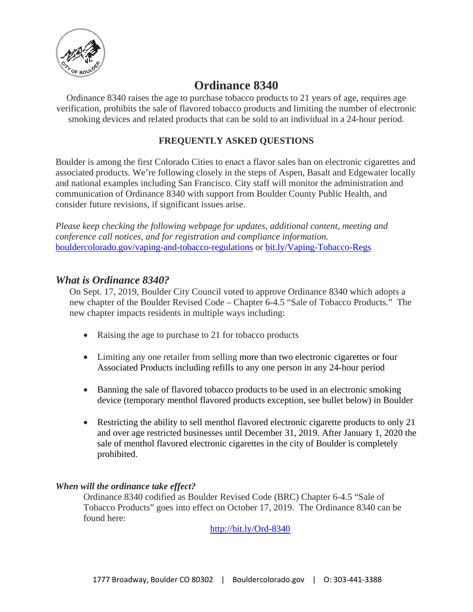

# **Ordinance 8340**

Ordinance 8340 raises the age to purchase tobacco products to 21 years of age, requires age verification, prohibits the sale of flavored tobacco products and limiting the number of electronic smoking devices and related products that can be sold to an individual in a 24-hour period.

#### **FREQUENTLY ASKED QUESTIONS**

Boulder is among the first Colorado Cities to enact a flavor sales ban on electronic cigarettes and associated products. We're following closely in the steps of Aspen, Basalt and Edgewater locally and national examples including San Francisco. City staff will monitor the administration and communication of Ordinance 8340 with support from Boulder County Public Health, and consider future revisions, if significant issues arise.

*Please keep checking the following webpage for updates, additional content, meeting and conference call notices, and for registration and compliance information.* [bouldercolorado.gov/vaping-and-tobacco-regulations](https://bouldercolorado.gov/vaping-and-tobacco-regulations) or [bit.ly/Vaping-Tobacco-Regs](http://bit.ly/Vaping-Tobacco-Regs)

#### *What is Ordinance 8340?*

On Sept. 17, 2019, Boulder City Council voted to approve Ordinance 8340 which adopts a new chapter of the Boulder Revised Code – Chapter 6-4.5 "Sale of Tobacco Products." The new chapter impacts residents in multiple ways including:

- Raising the age to purchase to 21 for tobacco products
- Limiting any one retailer from selling more than two electronic cigarettes or four Associated Products including refills to any one person in any 24-hour period
- Banning the sale of flavored tobacco products to be used in an electronic smoking device (temporary menthol flavored products exception, see bullet below) in Boulder
- Restricting the ability to sell menthol flavored electronic cigarette products to only 21 and over age restricted businesses until December 31, 2019. After January 1, 2020 the sale of menthol flavored electronic cigarettes in the city of Boulder is completely prohibited.

#### *When will the ordinance take effect?*

Ordinance 8340 codified as Boulder Revised Code (BRC) Chapter 6-4.5 "Sale of Tobacco Products" goes into effect on October 17, 2019. The Ordinance 8340 can be found here:

<http://bit.ly/Ord-8340>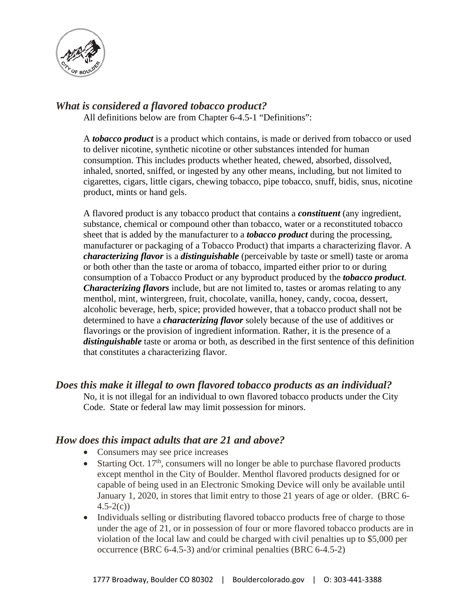

#### *What is considered a flavored tobacco product?*

All definitions below are from Chapter 6-4.5-1 "Definitions":

A *tobacco product* is a product which contains, is made or derived from tobacco or used to deliver nicotine, synthetic nicotine or other substances intended for human consumption. This includes products whether heated, chewed, absorbed, dissolved, inhaled, snorted, sniffed, or ingested by any other means, including, but not limited to cigarettes, cigars, little cigars, chewing tobacco, pipe tobacco, snuff, bidis, snus, nicotine product, mints or hand gels.

A flavored product is any tobacco product that contains a *constituent* (any ingredient, substance, chemical or compound other than tobacco, water or a reconstituted tobacco sheet that is added by the manufacturer to a *tobacco product* during the processing, manufacturer or packaging of a Tobacco Product) that imparts a characterizing flavor. A *characterizing flavor* is a *distinguishable* (perceivable by taste or smell) taste or aroma or both other than the taste or aroma of tobacco, imparted either prior to or during consumption of a Tobacco Product or any byproduct produced by the *tobacco product*. *Characterizing flavors* include, but are not limited to, tastes or aromas relating to any menthol, mint, wintergreen, fruit, chocolate, vanilla, honey, candy, cocoa, dessert, alcoholic beverage, herb, spice; provided however, that a tobacco product shall not be determined to have a *characterizing flavor* solely because of the use of additives or flavorings or the provision of ingredient information. Rather, it is the presence of a *distinguishable* taste or aroma or both, as described in the first sentence of this definition that constitutes a characterizing flavor.

#### *Does this make it illegal to own flavored tobacco products as an individual?*

No, it is not illegal for an individual to own flavored tobacco products under the City Code. State or federal law may limit possession for minors.

#### *How does this impact adults that are 21 and above?*

- Consumers may see price increases
- Starting Oct. 17<sup>th</sup>, consumers will no longer be able to purchase flavored products except menthol in the City of Boulder. Menthol flavored products designed for or capable of being used in an Electronic Smoking Device will only be available until January 1, 2020, in stores that limit entry to those 21 years of age or older. (BRC 6-  $4.5 - 2(c)$
- Individuals selling or distributing flavored tobacco products free of charge to those under the age of 21, or in possession of four or more flavored tobacco products are in violation of the local law and could be charged with civil penalties up to \$5,000 per occurrence (BRC 6-4.5-3) and/or criminal penalties (BRC 6-4.5-2)